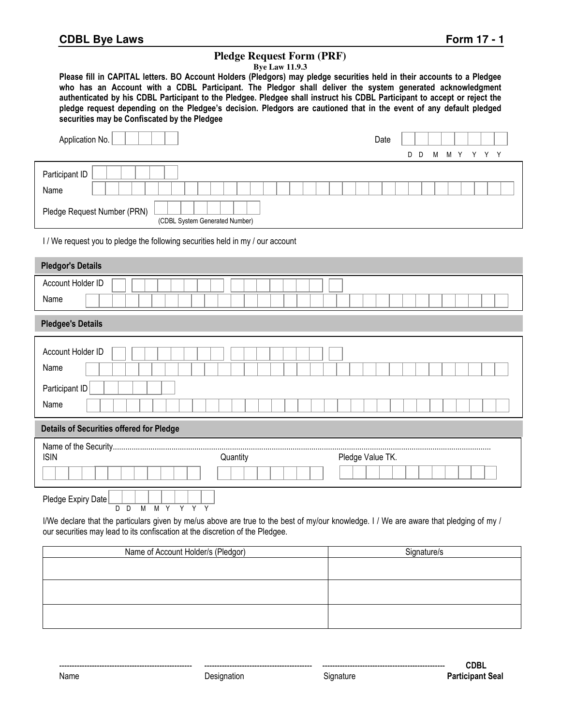## **Pledge Request Form (PRF)**

| <b>Bye Law 11.9.3</b> |  |
|-----------------------|--|
|-----------------------|--|

**Please fill in CAPITAL letters. BO Account Holders (Pledgors) may pledge securities held in their accounts to a Pledgee who has an Account with a CDBL Participant. The Pledgor shall deliver the system generated acknowledgment authenticated by his CDBL Participant to the Pledgee. Pledgee shall instruct his CDBL Participant to accept or reject the pledge request depending on the Pledgee's decision. Pledgors are cautioned that in the event of any default pledged securities may be Confiscated by the Pledgee** 

| Application No.                                               | Date |     |   |           |  |
|---------------------------------------------------------------|------|-----|---|-----------|--|
|                                                               |      | D D | M | M Y Y Y Y |  |
| Participant ID                                                |      |     |   |           |  |
| Name                                                          |      |     |   |           |  |
| Pledge Request Number (PRN)<br>(CDBL System Generated Number) |      |     |   |           |  |

I / We request you to pledge the following securities held in my / our account

| <b>Pledgor's Details</b>                        |          |                  |  |
|-------------------------------------------------|----------|------------------|--|
| Account Holder ID                               |          |                  |  |
| Name                                            |          |                  |  |
| <b>Pledgee's Details</b>                        |          |                  |  |
| Account Holder ID                               |          |                  |  |
| Name                                            |          |                  |  |
| Participant ID                                  |          |                  |  |
| Name                                            |          |                  |  |
| <b>Details of Securities offered for Pledge</b> |          |                  |  |
|                                                 |          |                  |  |
| <b>ISIN</b>                                     | Quantity | Pledge Value TK. |  |
|                                                 |          |                  |  |
| Pledge Expiry Date<br>M M Y Y Y Y<br>$D$ $D$    |          |                  |  |
|                                                 |          |                  |  |

| Name of Account Holder/s (Pledgor) | Signature/s |
|------------------------------------|-------------|
|                                    |             |
|                                    |             |
|                                    |             |
|                                    |             |
|                                    |             |
|                                    |             |
|                                    |             |